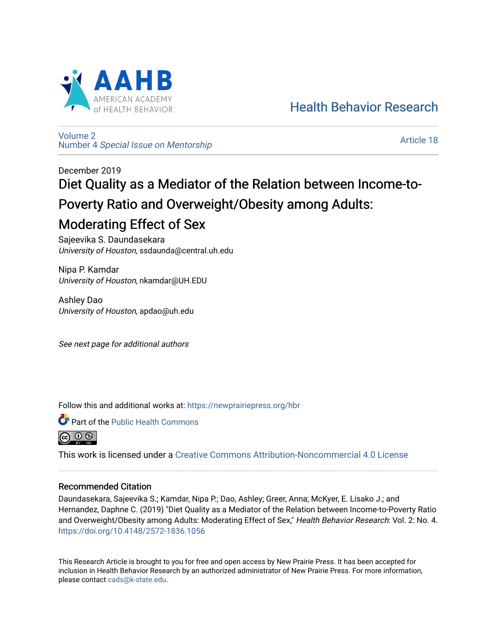

[Health Behavior Research](https://newprairiepress.org/hbr) 

[Volume 2](https://newprairiepress.org/hbr/vol2) Number 4 [Special Issue on Mentorship](https://newprairiepress.org/hbr/vol2/iss4) 

[Article 18](https://newprairiepress.org/hbr/vol2/iss4/18) 

# December 2019 Diet Quality as a Mediator of the Relation between Income-to-Poverty Ratio and Overweight/Obesity among Adults: Moderating Effect of Sex

Sajeevika S. Daundasekara University of Houston, ssdaunda@central.uh.edu

Nipa P. Kamdar University of Houston, nkamdar@UH.EDU

Ashley Dao University of Houston, apdao@uh.edu

See next page for additional authors

Follow this and additional works at: [https://newprairiepress.org/hbr](https://newprairiepress.org/hbr?utm_source=newprairiepress.org%2Fhbr%2Fvol2%2Fiss4%2F18&utm_medium=PDF&utm_campaign=PDFCoverPages) 



<u>(සි ල ළ)</u>

This work is licensed under a [Creative Commons Attribution-Noncommercial 4.0 License](https://creativecommons.org/licenses/by-nc/4.0/)

# Recommended Citation

Daundasekara, Sajeevika S.; Kamdar, Nipa P.; Dao, Ashley; Greer, Anna; McKyer, E. Lisako J.; and Hernandez, Daphne C. (2019) "Diet Quality as a Mediator of the Relation between Income-to-Poverty Ratio and Overweight/Obesity among Adults: Moderating Effect of Sex," Health Behavior Research: Vol. 2: No. 4. <https://doi.org/10.4148/2572-1836.1056>

This Research Article is brought to you for free and open access by New Prairie Press. It has been accepted for inclusion in Health Behavior Research by an authorized administrator of New Prairie Press. For more information, please contact [cads@k-state.edu.](mailto:cads@k-state.edu)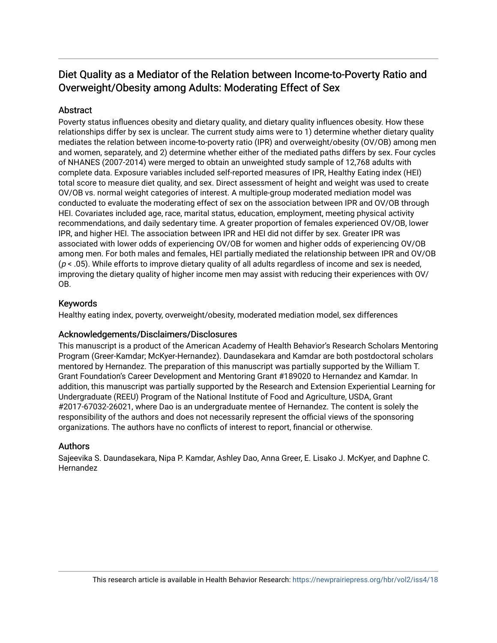# Diet Quality as a Mediator of the Relation between Income-to-Poverty Ratio and Overweight/Obesity among Adults: Moderating Effect of Sex

# **Abstract**

Poverty status influences obesity and dietary quality, and dietary quality influences obesity. How these relationships differ by sex is unclear. The current study aims were to 1) determine whether dietary quality mediates the relation between income-to-poverty ratio (IPR) and overweight/obesity (OV/OB) among men and women, separately, and 2) determine whether either of the mediated paths differs by sex. Four cycles of NHANES (2007-2014) were merged to obtain an unweighted study sample of 12,768 adults with complete data. Exposure variables included self-reported measures of IPR, Healthy Eating index (HEI) total score to measure diet quality, and sex. Direct assessment of height and weight was used to create OV/OB vs. normal weight categories of interest. A multiple-group moderated mediation model was conducted to evaluate the moderating effect of sex on the association between IPR and OV/OB through HEI. Covariates included age, race, marital status, education, employment, meeting physical activity recommendations, and daily sedentary time. A greater proportion of females experienced OV/OB, lower IPR, and higher HEI. The association between IPR and HEI did not differ by sex. Greater IPR was associated with lower odds of experiencing OV/OB for women and higher odds of experiencing OV/OB among men. For both males and females, HEI partially mediated the relationship between IPR and OV/OB  $(p < .05)$ . While efforts to improve dietary quality of all adults regardless of income and sex is needed, improving the dietary quality of higher income men may assist with reducing their experiences with OV/ OB.

# Keywords

Healthy eating index, poverty, overweight/obesity, moderated mediation model, sex differences

# Acknowledgements/Disclaimers/Disclosures

This manuscript is a product of the American Academy of Health Behavior's Research Scholars Mentoring Program (Greer-Kamdar; McKyer-Hernandez). Daundasekara and Kamdar are both postdoctoral scholars mentored by Hernandez. The preparation of this manuscript was partially supported by the William T. Grant Foundation's Career Development and Mentoring Grant #189020 to Hernandez and Kamdar. In addition, this manuscript was partially supported by the Research and Extension Experiential Learning for Undergraduate (REEU) Program of the National Institute of Food and Agriculture, USDA, Grant #2017-67032-26021, where Dao is an undergraduate mentee of Hernandez. The content is solely the responsibility of the authors and does not necessarily represent the official views of the sponsoring organizations. The authors have no conflicts of interest to report, financial or otherwise.

# Authors

Sajeevika S. Daundasekara, Nipa P. Kamdar, Ashley Dao, Anna Greer, E. Lisako J. McKyer, and Daphne C. Hernandez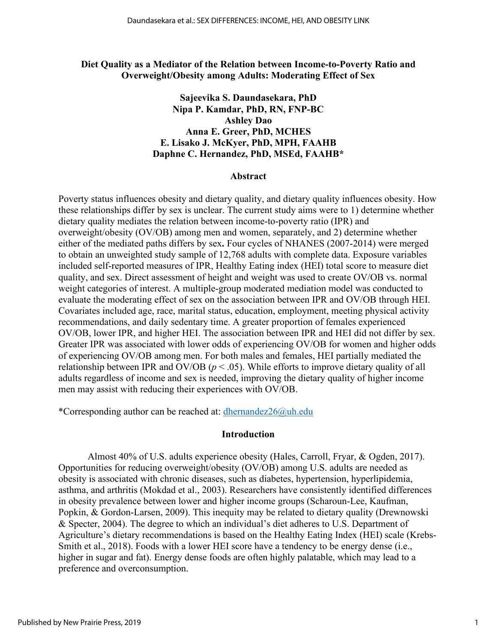### **Diet Quality as a Mediator of the Relation between Income-to-Poverty Ratio and Overweight/Obesity among Adults: Moderating Effect of Sex**

# **Sajeevika S. Daundasekara, PhD Nipa P. Kamdar, PhD, RN, FNP-BC Ashley Dao Anna E. Greer, PhD, MCHES E. Lisako J. McKyer, PhD, MPH, FAAHB Daphne C. Hernandez, PhD, MSEd, FAAHB\***

#### **Abstract**

Poverty status influences obesity and dietary quality, and dietary quality influences obesity. How these relationships differ by sex is unclear. The current study aims were to 1) determine whether dietary quality mediates the relation between income-to-poverty ratio (IPR) and overweight/obesity (OV/OB) among men and women, separately, and 2) determine whether either of the mediated paths differs by sex**.** Four cycles of NHANES (2007-2014) were merged to obtain an unweighted study sample of 12,768 adults with complete data. Exposure variables included self-reported measures of IPR, Healthy Eating index (HEI) total score to measure diet quality, and sex. Direct assessment of height and weight was used to create OV/OB vs. normal weight categories of interest. A multiple-group moderated mediation model was conducted to evaluate the moderating effect of sex on the association between IPR and OV/OB through HEI. Covariates included age, race, marital status, education, employment, meeting physical activity recommendations, and daily sedentary time. A greater proportion of females experienced OV/OB, lower IPR, and higher HEI. The association between IPR and HEI did not differ by sex. Greater IPR was associated with lower odds of experiencing OV/OB for women and higher odds of experiencing OV/OB among men. For both males and females, HEI partially mediated the relationship between IPR and OV/OB ( $p < .05$ ). While efforts to improve dietary quality of all adults regardless of income and sex is needed, improving the dietary quality of higher income men may assist with reducing their experiences with OV/OB.

\*Corresponding author can be reached at: dhernandez $26@$ uh.edu

# **Introduction**

Almost 40% of U.S. adults experience obesity (Hales, Carroll, Fryar, & Ogden, 2017). Opportunities for reducing overweight/obesity (OV/OB) among U.S. adults are needed as obesity is associated with chronic diseases, such as diabetes, hypertension, hyperlipidemia, asthma, and arthritis (Mokdad et al., 2003). Researchers have consistently identified differences in obesity prevalence between lower and higher income groups (Scharoun-Lee, Kaufman, Popkin, & Gordon-Larsen, 2009). This inequity may be related to dietary quality (Drewnowski & Specter, 2004). The degree to which an individual's diet adheres to U.S. Department of Agriculture's dietary recommendations is based on the Healthy Eating Index (HEI) scale (Krebs-Smith et al., 2018). Foods with a lower HEI score have a tendency to be energy dense (i.e., higher in sugar and fat). Energy dense foods are often highly palatable, which may lead to a preference and overconsumption.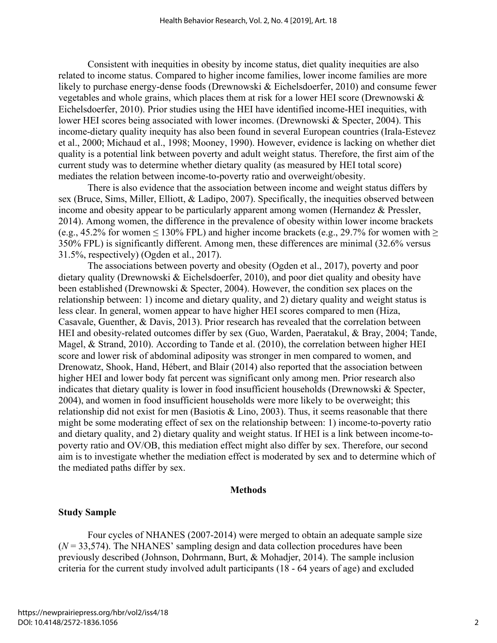Consistent with inequities in obesity by income status, diet quality inequities are also related to income status. Compared to higher income families, lower income families are more likely to purchase energy-dense foods (Drewnowski & Eichelsdoerfer, 2010) and consume fewer vegetables and whole grains, which places them at risk for a lower HEI score (Drewnowski & Eichelsdoerfer, 2010). Prior studies using the HEI have identified income-HEI inequities, with lower HEI scores being associated with lower incomes. (Drewnowski & Specter, 2004). This income-dietary quality inequity has also been found in several European countries (Irala-Estevez et al., 2000; Michaud et al., 1998; Mooney, 1990). However, evidence is lacking on whether diet quality is a potential link between poverty and adult weight status. Therefore, the first aim of the current study was to determine whether dietary quality (as measured by HEI total score) mediates the relation between income-to-poverty ratio and overweight/obesity.

There is also evidence that the association between income and weight status differs by sex (Bruce, Sims, Miller, Elliott, & Ladipo, 2007). Specifically, the inequities observed between income and obesity appear to be particularly apparent among women (Hernandez & Pressler, 2014). Among women, the difference in the prevalence of obesity within lower income brackets (e.g., 45.2% for women  $\leq 130\%$  FPL) and higher income brackets (e.g., 29.7% for women with  $\geq$ 350% FPL) is significantly different. Among men, these differences are minimal (32.6% versus 31.5%, respectively) (Ogden et al., 2017).

The associations between poverty and obesity (Ogden et al., 2017), poverty and poor dietary quality (Drewnowski & Eichelsdoerfer, 2010), and poor diet quality and obesity have been established (Drewnowski & Specter, 2004). However, the condition sex places on the relationship between: 1) income and dietary quality, and 2) dietary quality and weight status is less clear. In general, women appear to have higher HEI scores compared to men (Hiza, Casavale, Guenther, & Davis, 2013). Prior research has revealed that the correlation between HEI and obesity-related outcomes differ by sex (Guo, Warden, Paeratakul, & Bray, 2004; Tande, Magel, & Strand, 2010). According to Tande et al. (2010), the correlation between higher HEI score and lower risk of abdominal adiposity was stronger in men compared to women, and Drenowatz, Shook, Hand, Hébert, and Blair (2014) also reported that the association between higher HEI and lower body fat percent was significant only among men. Prior research also indicates that dietary quality is lower in food insufficient households (Drewnowski & Specter, 2004), and women in food insufficient households were more likely to be overweight; this relationship did not exist for men (Basiotis & Lino, 2003). Thus, it seems reasonable that there might be some moderating effect of sex on the relationship between: 1) income-to-poverty ratio and dietary quality, and 2) dietary quality and weight status. If HEI is a link between income-topoverty ratio and OV/OB, this mediation effect might also differ by sex. Therefore, our second aim is to investigate whether the mediation effect is moderated by sex and to determine which of the mediated paths differ by sex.

#### **Methods**

#### **Study Sample**

Four cycles of NHANES (2007-2014) were merged to obtain an adequate sample size  $(N = 33,574)$ . The NHANES' sampling design and data collection procedures have been previously described (Johnson, Dohrmann, Burt, & Mohadjer, 2014). The sample inclusion criteria for the current study involved adult participants (18 - 64 years of age) and excluded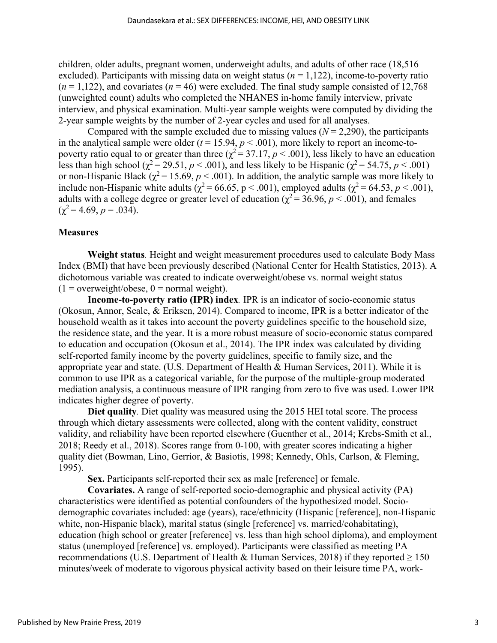children, older adults, pregnant women, underweight adults, and adults of other race (18,516 excluded). Participants with missing data on weight status ( $n = 1,122$ ), income-to-poverty ratio  $(n = 1,122)$ , and covariates  $(n = 46)$  were excluded. The final study sample consisted of 12,768 (unweighted count) adults who completed the NHANES in-home family interview, private interview, and physical examination. Multi-year sample weights were computed by dividing the 2-year sample weights by the number of 2-year cycles and used for all analyses.

Compared with the sample excluded due to missing values  $(N = 2.290)$ , the participants in the analytical sample were older  $(t = 15.94, p < .001)$ , more likely to report an income-topoverty ratio equal to or greater than three ( $\chi^2$  = 37.17, *p* < .001), less likely to have an education less than high school ( $\chi^2$  = 29.51, *p* < .001), and less likely to be Hispanic ( $\chi^2$  = 54.75, *p* < .001) or non-Hispanic Black ( $\chi^2$  = 15.69, *p* < .001). In addition, the analytic sample was more likely to include non-Hispanic white adults ( $\chi^2$  = 66.65, p < .001), employed adults ( $\chi^2$  = 64.53, p < .001), adults with a college degree or greater level of education ( $\chi^2$  = 36.96, *p* < .001), and females  $(\chi^2 = 4.69, p = .034).$ 

#### **Measures**

**Weight status***.* Height and weight measurement procedures used to calculate Body Mass Index (BMI) that have been previously described (National Center for Health Statistics, 2013). A dichotomous variable was created to indicate overweight/obese vs. normal weight status  $(1 = overweight/obese, 0 = normal weight).$ 

**Income-to-poverty ratio (IPR) index***.* IPR is an indicator of socio-economic status (Okosun, Annor, Seale, & Eriksen, 2014). Compared to income, IPR is a better indicator of the household wealth as it takes into account the poverty guidelines specific to the household size, the residence state, and the year. It is a more robust measure of socio-economic status compared to education and occupation (Okosun et al., 2014). The IPR index was calculated by dividing self-reported family income by the poverty guidelines, specific to family size, and the appropriate year and state. (U.S. Department of Health & Human Services, 2011). While it is common to use IPR as a categorical variable, for the purpose of the multiple-group moderated mediation analysis, a continuous measure of IPR ranging from zero to five was used. Lower IPR indicates higher degree of poverty.

**Diet quality***.* Diet quality was measured using the 2015 HEI total score. The process through which dietary assessments were collected, along with the content validity, construct validity, and reliability have been reported elsewhere (Guenther et al., 2014; Krebs-Smith et al., 2018; Reedy et al., 2018). Scores range from 0-100, with greater scores indicating a higher quality diet (Bowman, Lino, Gerrior, & Basiotis, 1998; Kennedy, Ohls, Carlson, & Fleming, 1995).

**Sex.** Participants self-reported their sex as male [reference] or female.

**Covariates.** A range of self-reported socio-demographic and physical activity (PA) characteristics were identified as potential confounders of the hypothesized model. Sociodemographic covariates included: age (years), race/ethnicity (Hispanic [reference], non-Hispanic white, non-Hispanic black), marital status (single [reference] vs. married/cohabitating), education (high school or greater [reference] vs. less than high school diploma), and employment status (unemployed [reference] vs. employed). Participants were classified as meeting PA recommendations (U.S. Department of Health & Human Services, 2018) if they reported  $\geq 150$ minutes/week of moderate to vigorous physical activity based on their leisure time PA, work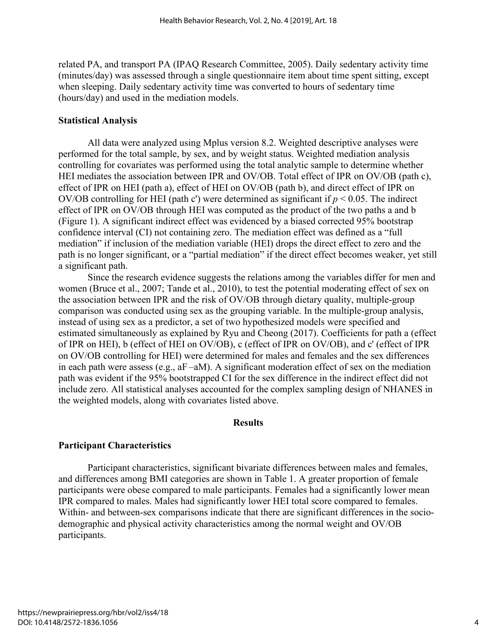related PA, and transport PA (IPAQ Research Committee, 2005). Daily sedentary activity time (minutes/day) was assessed through a single questionnaire item about time spent sitting, except when sleeping. Daily sedentary activity time was converted to hours of sedentary time (hours/day) and used in the mediation models.

### **Statistical Analysis**

All data were analyzed using Mplus version 8.2. Weighted descriptive analyses were performed for the total sample, by sex, and by weight status. Weighted mediation analysis controlling for covariates was performed using the total analytic sample to determine whether HEI mediates the association between IPR and OV/OB. Total effect of IPR on OV/OB (path c), effect of IPR on HEI (path a), effect of HEI on OV/OB (path b), and direct effect of IPR on OV/OB controlling for HEI (path c') were determined as significant if  $p < 0.05$ . The indirect effect of IPR on OV/OB through HEI was computed as the product of the two paths a and b (Figure 1). A significant indirect effect was evidenced by a biased corrected 95% bootstrap confidence interval (CI) not containing zero. The mediation effect was defined as a "full mediation" if inclusion of the mediation variable (HEI) drops the direct effect to zero and the path is no longer significant, or a "partial mediation" if the direct effect becomes weaker, yet still a significant path.

Since the research evidence suggests the relations among the variables differ for men and women (Bruce et al., 2007; Tande et al., 2010), to test the potential moderating effect of sex on the association between IPR and the risk of OV/OB through dietary quality, multiple-group comparison was conducted using sex as the grouping variable. In the multiple-group analysis, instead of using sex as a predictor, a set of two hypothesized models were specified and estimated simultaneously as explained by Ryu and Cheong (2017). Coefficients for path a (effect of IPR on HEI), b (effect of HEI on OV/OB), c (effect of IPR on OV/OB), and c' (effect of IPR on OV/OB controlling for HEI) were determined for males and females and the sex differences in each path were assess (e.g., aF –aM). A significant moderation effect of sex on the mediation path was evident if the 95% bootstrapped CI for the sex difference in the indirect effect did not include zero. All statistical analyses accounted for the complex sampling design of NHANES in the weighted models, along with covariates listed above.

#### **Results**

# **Participant Characteristics**

Participant characteristics, significant bivariate differences between males and females, and differences among BMI categories are shown in Table 1. A greater proportion of female participants were obese compared to male participants. Females had a significantly lower mean IPR compared to males. Males had significantly lower HEI total score compared to females. Within- and between-sex comparisons indicate that there are significant differences in the sociodemographic and physical activity characteristics among the normal weight and OV/OB participants.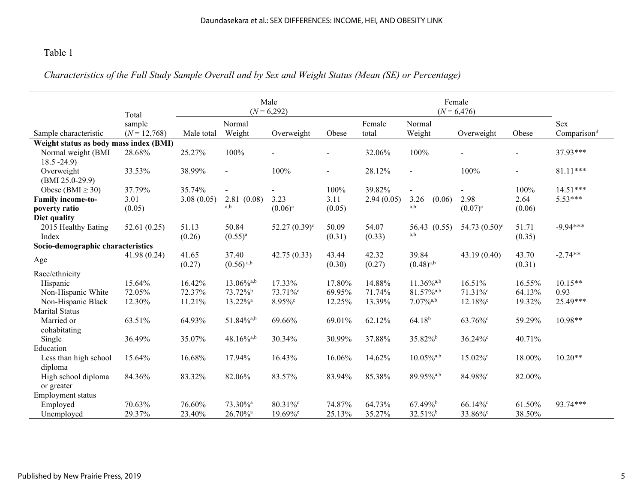# Table 1

# *Characteristics of the Full Study Sample Overall and by Sex and Weight Status (Mean (SE) or Percentage)*

|                                        | Total          | Male<br>$(N = 6,292)$ |                                  |                       |                 | Female<br>$(N = 6,476)$ |                          |                        |                 |                         |
|----------------------------------------|----------------|-----------------------|----------------------------------|-----------------------|-----------------|-------------------------|--------------------------|------------------------|-----------------|-------------------------|
|                                        | sample         |                       | Normal                           |                       |                 | Female                  | Normal                   |                        |                 | <b>Sex</b>              |
| Sample characteristic                  | $(N = 12,768)$ | Male total            | Weight                           | Overweight            | Obese           | total                   | Weight                   | Overweight             | Obese           | Comparison <sup>d</sup> |
| Weight status as body mass index (BMI) |                |                       |                                  |                       |                 |                         |                          |                        |                 |                         |
| Normal weight (BMI<br>$18.5 - 24.9$    | 28.68%         | 25.27%                | 100%                             |                       |                 | 32.06%                  | 100%                     |                        |                 | 37.93***                |
| Overweight<br>$(BMI 25.0-29.9)$        | 33.53%         | 38.99%                | $\sim$                           | 100%                  | $\sim$          | 28.12%                  | $\overline{a}$           | 100%                   |                 | $81.11***$              |
| Obese (BMI $\geq$ 30)                  | 37.79%         | 35.74%                | $\overline{a}$                   |                       | 100%            | 39.82%                  |                          |                        | 100%            | $14.51***$              |
| <b>Family income-to-</b>               | 3.01           | 3.08(0.05)            | 2.81(0.08)                       | 3.23                  | 3.11            | 2.94(0.05)              | 3.26<br>(0.06)           | 2.98                   | 2.64            | $5.53***$               |
| poverty ratio                          | (0.05)         |                       | a,b                              | $(0.06)^{\circ}$      | (0.05)          |                         | a,b                      | $(0.07)^{c}$           | (0.06)          |                         |
| Diet quality                           |                |                       |                                  |                       |                 |                         |                          |                        |                 |                         |
| 2015 Healthy Eating                    | 52.61(0.25)    | 51.13                 | 50.84                            | $52.27(0.39)^{\circ}$ | 50.09           | 54.07                   | 56.43 (0.55)             | 54.73 $(0.50)^{\circ}$ | 51.71           | $-9.94***$              |
| Index                                  |                | (0.26)                | $(0.55)^{a}$                     |                       | (0.31)          | (0.33)                  | a,b                      |                        | (0.35)          |                         |
| Socio-demographic characteristics      |                |                       |                                  |                       |                 |                         |                          |                        |                 |                         |
| Age                                    | 41.98 (0.24)   | 41.65<br>(0.27)       | 37.40<br>$(0.56)$ <sup>a,b</sup> | 42.75(0.33)           | 43.44<br>(0.30) | 42.32<br>(0.27)         | 39.84<br>$(0.48)^{a,b}$  | 43.19(0.40)            | 43.70<br>(0.31) | $-2.74**$               |
| Race/ethnicity                         |                |                       |                                  |                       |                 |                         |                          |                        |                 |                         |
| Hispanic                               | 15.64%         | 16.42%                | $13.06\%$ <sup>a,b</sup>         | 17.33%                | 17.80%          | 14.88%                  | $11.36\%$ <sup>a,b</sup> | 16.51%                 | 16.55%          | $10.15**$               |
| Non-Hispanic White                     | 72.05%         | 72.37%                | 73.72% <sup>b</sup>              | 73.71%°               | 69.95%          | 71.74%                  | $81.57\%$ <sup>a,b</sup> | 71.31%°                | 64.13%          | 0.93                    |
| Non-Hispanic Black                     | 12.30%         | 11.21%                | 13.22% <sup>a</sup>              | 8.95%°                | 12.25%          | 13.39%                  | $7.07\%$ <sup>a,b</sup>  | $12.18\%$              | 19.32%          | 25.49***                |
| <b>Marital Status</b>                  |                |                       |                                  |                       |                 |                         |                          |                        |                 |                         |
| Married or                             | 63.51%         | 64.93%                | $51.84\%$ <sup>a,b</sup>         | 69.66%                | 69.01%          | 62.12%                  | $64.18^{b}$              | 63.76%°                | 59.29%          | $10.98**$               |
| cohabitating                           |                |                       |                                  |                       |                 |                         |                          |                        |                 |                         |
| Single                                 | 36.49%         | 35.07%                | $48.16\%^{a,b}$                  | 30.34%                | 30.99%          | 37.88%                  | 35.82% <sup>b</sup>      | $36.24\%$ °            | 40.71%          |                         |
| Education                              |                |                       |                                  |                       |                 |                         |                          |                        |                 |                         |
| Less than high school<br>diploma       | 15.64%         | 16.68%                | 17.94%                           | 16.43%                | 16.06%          | 14.62%                  | $10.05\%$ <sup>a,b</sup> | 15.02%°                | 18.00%          | $10.20**$               |
| High school diploma                    | 84.36%         | 83.32%                | 82.06%                           | 83.57%                | 83.94%          | 85.38%                  | 89.95%a,b                | 84.98%c                | 82.00%          |                         |
| or greater                             |                |                       |                                  |                       |                 |                         |                          |                        |                 |                         |
| Employment status                      |                |                       |                                  |                       |                 |                         |                          |                        |                 |                         |
| Employed                               | 70.63%         | 76.60%                | 73.30% <sup>a</sup>              | 80.31%°               | 74.87%          | 64.73%                  | $67.49\%$                | $66.14\%$              | 61.50%          | 93.74***                |
| Unemployed                             | 29.37%         | 23.40%                | 26.70% <sup>a</sup>              | $19.69\%$ °           | 25.13%          | 35.27%                  | $32.51\%$                | 33.86%c                | 38.50%          |                         |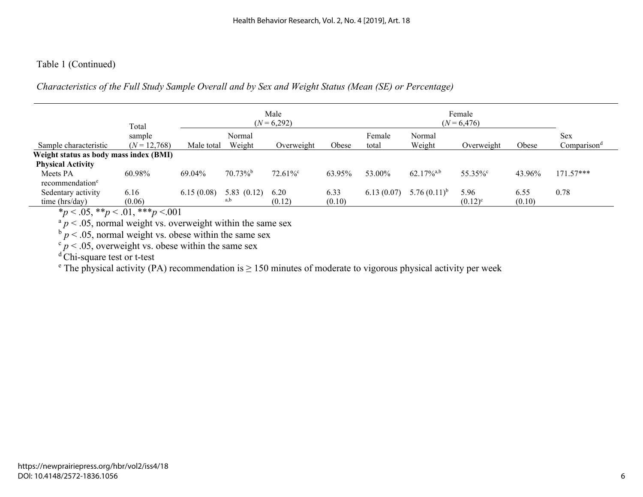# Table 1 (Continued)

*Characteristics of the Full Study Sample Overall and by Sex and Weight Status (Mean (SE) or Percentage)* 

|                                        | Total          | Male<br>$(N = 6,292)$ |            |                        |        | Female<br>$(N = 6,476)$ |                          |              |        |                         |
|----------------------------------------|----------------|-----------------------|------------|------------------------|--------|-------------------------|--------------------------|--------------|--------|-------------------------|
|                                        | sample         |                       | Normal     |                        |        | Female                  | Normal                   |              |        | Sex                     |
| Sample characteristic                  | $(N = 12,768)$ | Male total            | Weight     | Overweight             | Obese  | total                   | Weight                   | Overweight   | Obese  | Comparison <sup>a</sup> |
| Weight status as body mass index (BMI) |                |                       |            |                        |        |                         |                          |              |        |                         |
| <b>Physical Activity</b>               |                |                       |            |                        |        |                         |                          |              |        |                         |
| Meets PA                               | 60.98%         | 69.04%                | $70.73\%$  | $72.61\%$ <sup>c</sup> | 63.95% | 53.00%                  | $62.17\%$ <sup>a,b</sup> | 55.35%°      | 43.96% | $171.57***$             |
| recommendation <sup>e</sup>            |                |                       |            |                        |        |                         |                          |              |        |                         |
| Sedentary activity                     | 6.16           | 6.15(0.08)            | 5.83(0.12) | 6.20                   | 6.33   | 6.13(0.07)              | 5.76 $(0.11)^{b}$        | 5.96         | 6.55   | 0.78                    |
| time (hrs/day)                         | (0.06)         |                       | a,b        | (0.12)                 | (0.10) |                         |                          | $(0.12)^{c}$ | (0.10) |                         |

 $*p < .05$ ,  $*p < .01$ ,  $**p < .001$ <br> $*p < .05$ , normal weight vs. overweight within the same sex

 $b \cdot p < .05$ , normal weight vs. obese within the same sex  $c \cdot p < .05$ , overweight vs. obese within the same sex

<sup>d</sup> Chi-square test or t-test

<sup>e</sup> The physical activity (PA) recommendation is  $\geq 150$  minutes of moderate to vigorous physical activity per week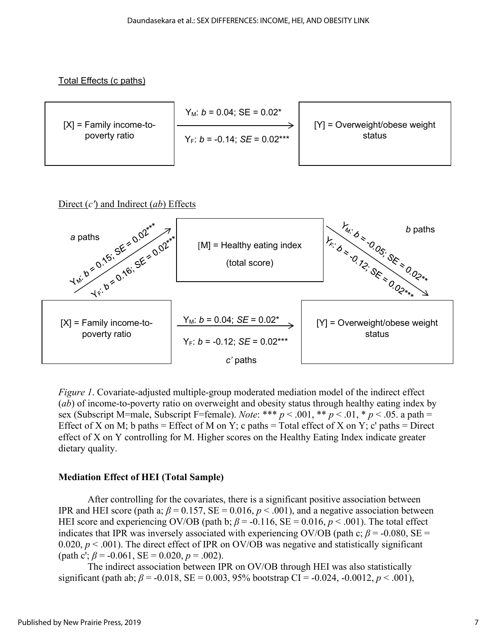Total Effects (c paths)



# Direct (*c'*) and Indirect (*ab*) Effects



*Figure 1*. Covariate-adjusted multiple-group moderated mediation model of the indirect effect (*ab*) of income-to-poverty ratio on overweight and obesity status through healthy eating index by sex (Subscript M=male, Subscript F=female). *Note*: \*\*\* *p* < .001, \*\* *p* < .01, \* *p* < .05. a path = Effect of X on M; b paths = Effect of M on Y; c paths = Total effect of X on Y; c' paths = Direct effect of X on Y controlling for M. Higher scores on the Healthy Eating Index indicate greater dietary quality.

# **Mediation Effect of HEI (Total Sample)**

After controlling for the covariates, there is a significant positive association between IPR and HEI score (path a;  $\beta = 0.157$ , SE = 0.016,  $p < .001$ ), and a negative association between HEI score and experiencing OV/OB (path b;  $\beta$  = -0.116, SE = 0.016,  $p < .001$ ). The total effect indicates that IPR was inversely associated with experiencing OV/OB (path c;  $\beta$  = -0.080, SE = 0.020,  $p < .001$ ). The direct effect of IPR on OV/OB was negative and statistically significant (path c';  $\beta$  = -0.061, SE = 0.020,  $p$  = .002).

The indirect association between IPR on OV/OB through HEI was also statistically significant (path ab;  $\beta$  = -0.018, SE = 0.003, 95% bootstrap CI = -0.024, -0.0012, *p* < .001),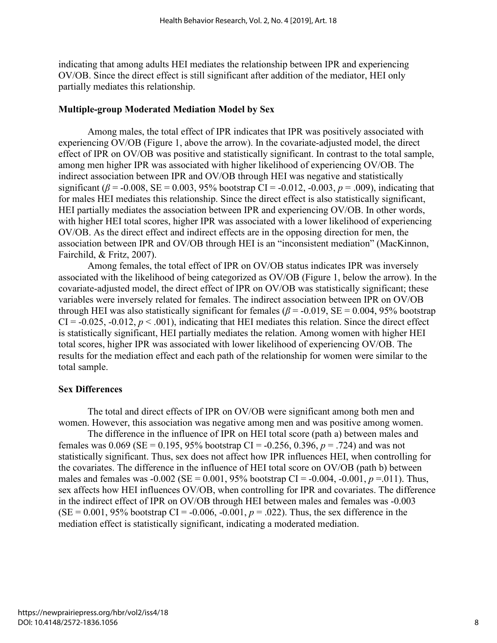indicating that among adults HEI mediates the relationship between IPR and experiencing OV/OB. Since the direct effect is still significant after addition of the mediator, HEI only partially mediates this relationship.

#### **Multiple-group Moderated Mediation Model by Sex**

Among males, the total effect of IPR indicates that IPR was positively associated with experiencing OV/OB (Figure 1, above the arrow). In the covariate-adjusted model, the direct effect of IPR on OV/OB was positive and statistically significant. In contrast to the total sample, among men higher IPR was associated with higher likelihood of experiencing OV/OB. The indirect association between IPR and OV/OB through HEI was negative and statistically significant ( $\beta$  = -0.008, SE = 0.003, 95% bootstrap CI = -0.012, -0.003,  $p = .009$ ), indicating that for males HEI mediates this relationship. Since the direct effect is also statistically significant, HEI partially mediates the association between IPR and experiencing OV/OB. In other words, with higher HEI total scores, higher IPR was associated with a lower likelihood of experiencing OV/OB. As the direct effect and indirect effects are in the opposing direction for men, the association between IPR and OV/OB through HEI is an "inconsistent mediation" (MacKinnon, Fairchild, & Fritz, 2007).

Among females, the total effect of IPR on OV/OB status indicates IPR was inversely associated with the likelihood of being categorized as OV/OB (Figure 1, below the arrow). In the covariate-adjusted model, the direct effect of IPR on OV/OB was statistically significant; these variables were inversely related for females. The indirect association between IPR on OV/OB through HEI was also statistically significant for females ( $\beta$  = -0.019, SE = 0.004, 95% bootstrap  $CI = -0.025, -0.012, p < .001$ , indicating that HEI mediates this relation. Since the direct effect is statistically significant, HEI partially mediates the relation. Among women with higher HEI total scores, higher IPR was associated with lower likelihood of experiencing OV/OB. The results for the mediation effect and each path of the relationship for women were similar to the total sample.

#### **Sex Differences**

 The total and direct effects of IPR on OV/OB were significant among both men and women. However, this association was negative among men and was positive among women.

The difference in the influence of IPR on HEI total score (path a) between males and females was  $0.069$  (SE = 0.195, 95% bootstrap CI = -0.256, 0.396,  $p = .724$ ) and was not statistically significant. Thus, sex does not affect how IPR influences HEI, when controlling for the covariates. The difference in the influence of HEI total score on OV/OB (path b) between males and females was  $-0.002$  (SE = 0.001, 95% bootstrap CI =  $-0.004$ ,  $-0.001$ ,  $p = 011$ ). Thus, sex affects how HEI influences OV/OB, when controlling for IPR and covariates. The difference in the indirect effect of IPR on OV/OB through HEI between males and females was -0.003  $(SE = 0.001, 95\%$  bootstrap CI = -0.006, -0.001,  $p = .022$ ). Thus, the sex difference in the mediation effect is statistically significant, indicating a moderated mediation.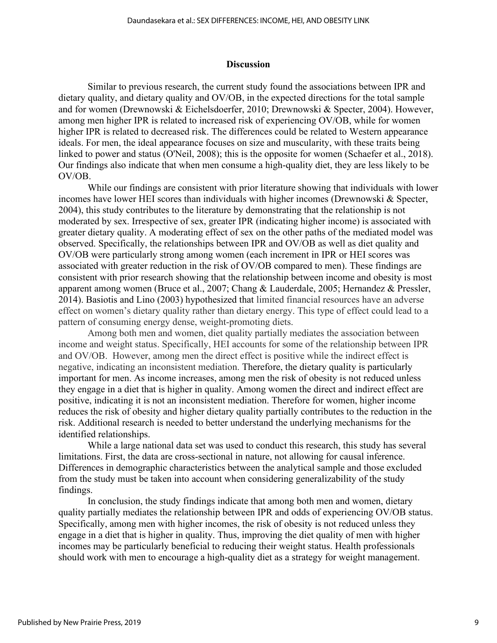#### **Discussion**

Similar to previous research, the current study found the associations between IPR and dietary quality, and dietary quality and OV/OB, in the expected directions for the total sample and for women (Drewnowski & Eichelsdoerfer, 2010; Drewnowski & Specter, 2004). However, among men higher IPR is related to increased risk of experiencing OV/OB, while for women higher IPR is related to decreased risk. The differences could be related to Western appearance ideals. For men, the ideal appearance focuses on size and muscularity, with these traits being linked to power and status (O'Neil, 2008); this is the opposite for women (Schaefer et al., 2018). Our findings also indicate that when men consume a high-quality diet, they are less likely to be OV/OB.

While our findings are consistent with prior literature showing that individuals with lower incomes have lower HEI scores than individuals with higher incomes (Drewnowski & Specter, 2004), this study contributes to the literature by demonstrating that the relationship is not moderated by sex. Irrespective of sex, greater IPR (indicating higher income) is associated with greater dietary quality. A moderating effect of sex on the other paths of the mediated model was observed. Specifically, the relationships between IPR and OV/OB as well as diet quality and OV/OB were particularly strong among women (each increment in IPR or HEI scores was associated with greater reduction in the risk of OV/OB compared to men). These findings are consistent with prior research showing that the relationship between income and obesity is most apparent among women (Bruce et al., 2007; Chang & Lauderdale, 2005; Hernandez & Pressler, 2014). Basiotis and Lino (2003) hypothesized that limited financial resources have an adverse effect on women's dietary quality rather than dietary energy. This type of effect could lead to a pattern of consuming energy dense, weight-promoting diets.

Among both men and women, diet quality partially mediates the association between income and weight status. Specifically, HEI accounts for some of the relationship between IPR and OV/OB. However, among men the direct effect is positive while the indirect effect is negative, indicating an inconsistent mediation. Therefore, the dietary quality is particularly important for men. As income increases, among men the risk of obesity is not reduced unless they engage in a diet that is higher in quality. Among women the direct and indirect effect are positive, indicating it is not an inconsistent mediation. Therefore for women, higher income reduces the risk of obesity and higher dietary quality partially contributes to the reduction in the risk. Additional research is needed to better understand the underlying mechanisms for the identified relationships.

While a large national data set was used to conduct this research, this study has several limitations. First, the data are cross-sectional in nature, not allowing for causal inference. Differences in demographic characteristics between the analytical sample and those excluded from the study must be taken into account when considering generalizability of the study findings.

In conclusion, the study findings indicate that among both men and women, dietary quality partially mediates the relationship between IPR and odds of experiencing OV/OB status. Specifically, among men with higher incomes, the risk of obesity is not reduced unless they engage in a diet that is higher in quality. Thus, improving the diet quality of men with higher incomes may be particularly beneficial to reducing their weight status. Health professionals should work with men to encourage a high-quality diet as a strategy for weight management.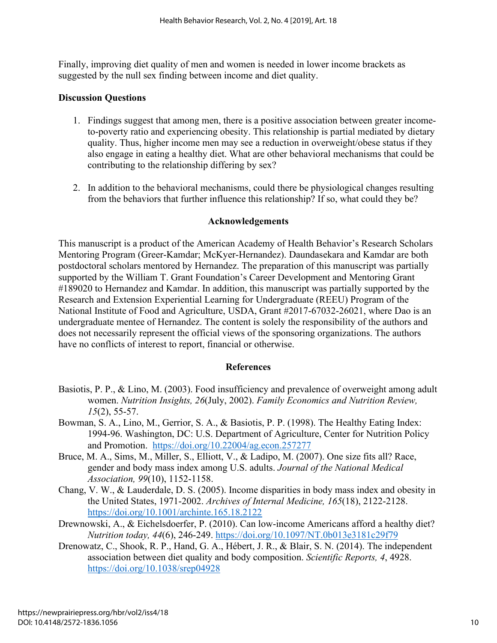Finally, improving diet quality of men and women is needed in lower income brackets as suggested by the null sex finding between income and diet quality.

# **Discussion Questions**

- 1. Findings suggest that among men, there is a positive association between greater incometo-poverty ratio and experiencing obesity. This relationship is partial mediated by dietary quality. Thus, higher income men may see a reduction in overweight/obese status if they also engage in eating a healthy diet. What are other behavioral mechanisms that could be contributing to the relationship differing by sex?
- 2. In addition to the behavioral mechanisms, could there be physiological changes resulting from the behaviors that further influence this relationship? If so, what could they be?

# **Acknowledgements**

This manuscript is a product of the American Academy of Health Behavior's Research Scholars Mentoring Program (Greer-Kamdar; McKyer-Hernandez). Daundasekara and Kamdar are both postdoctoral scholars mentored by Hernandez. The preparation of this manuscript was partially supported by the William T. Grant Foundation's Career Development and Mentoring Grant #189020 to Hernandez and Kamdar. In addition, this manuscript was partially supported by the Research and Extension Experiential Learning for Undergraduate (REEU) Program of the National Institute of Food and Agriculture, USDA, Grant #2017-67032-26021, where Dao is an undergraduate mentee of Hernandez. The content is solely the responsibility of the authors and does not necessarily represent the official views of the sponsoring organizations. The authors have no conflicts of interest to report, financial or otherwise.

# **References**

- Basiotis, P. P., & Lino, M. (2003). Food insufficiency and prevalence of overweight among adult women. *Nutrition Insights, 26*(July, 2002). *Family Economics and Nutrition Review, 15*(2), 55-57.
- Bowman, S. A., Lino, M., Gerrior, S. A., & Basiotis, P. P. (1998). The Healthy Eating Index: 1994-96. Washington, DC: U.S. Department of Agriculture, Center for Nutrition Policy and Promotion. <https://doi.org/10.22004/ag.econ.257277>
- Bruce, M. A., Sims, M., Miller, S., Elliott, V., & Ladipo, M. (2007). One size fits all? Race, gender and body mass index among U.S. adults. *Journal of the National Medical Association, 99*(10), 1152-1158.
- Chang, V. W., & Lauderdale, D. S. (2005). Income disparities in body mass index and obesity in the United States, 1971-2002. *Archives of Internal Medicine, 165*(18), 2122-2128. <https://doi.org/10.1001/archinte.165.18.2122>
- Drewnowski, A., & Eichelsdoerfer, P. (2010). Can low-income Americans afford a healthy diet? *Nutrition today, 44*(6), 246-249.<https://doi.org/10.1097/NT.0b013e3181c29f79>
- Drenowatz, C., Shook, R. P., Hand, G. A., Hébert, J. R., & Blair, S. N. (2014). The independent association between diet quality and body composition. *Scientific Reports, 4*, 4928. <https://doi.org/10.1038/srep04928>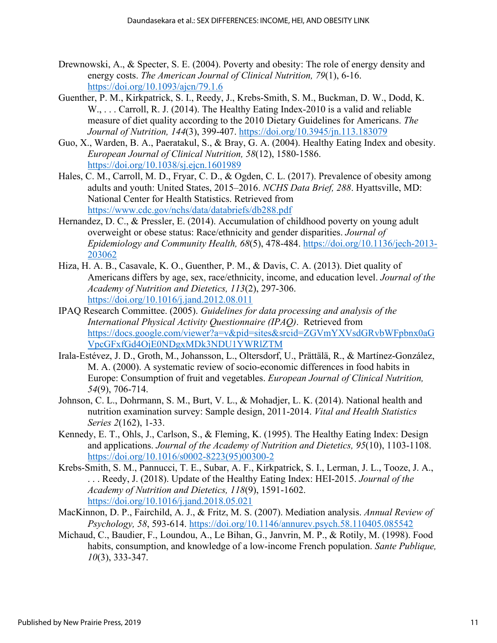- Drewnowski, A., & Specter, S. E. (2004). Poverty and obesity: The role of energy density and energy costs. *The American Journal of Clinical Nutrition, 79*(1), 6-16. <https://doi.org/10.1093/ajcn/79.1.6>
- Guenther, P. M., Kirkpatrick, S. I., Reedy, J., Krebs-Smith, S. M., Buckman, D. W., Dodd, K. W., ... Carroll, R. J. (2014). The Healthy Eating Index-2010 is a valid and reliable measure of diet quality according to the 2010 Dietary Guidelines for Americans. *The Journal of Nutrition, 144*(3), 399-407.<https://doi.org/10.3945/jn.113.183079>
- Guo, X., Warden, B. A., Paeratakul, S., & Bray, G. A. (2004). Healthy Eating Index and obesity. *European Journal of Clinical Nutrition, 58*(12), 1580-1586. <https://doi.org/10.1038/sj.ejcn.1601989>
- Hales, C. M., Carroll, M. D., Fryar, C. D., & Ogden, C. L. (2017). Prevalence of obesity among adults and youth: United States, 2015–2016. *NCHS Data Brief, 288*. Hyattsville, MD: National Center for Health Statistics. Retrieved from <https://www.cdc.gov/nchs/data/databriefs/db288.pdf>
- Hernandez, D. C., & Pressler, E. (2014). Accumulation of childhood poverty on young adult overweight or obese status: Race/ethnicity and gender disparities. *Journal of Epidemiology and Community Health, 68*(5), 478-484. [https://doi.org/10.1136/jech-2013-](https://doi.org/10.1136/jech-2013-203062) [203062](https://doi.org/10.1136/jech-2013-203062)
- Hiza, H. A. B., Casavale, K. O., Guenther, P. M., & Davis, C. A. (2013). Diet quality of Americans differs by age, sex, race/ethnicity, income, and education level. *Journal of the Academy of Nutrition and Dietetics, 113*(2), 297-306. <https://doi.org/10.1016/j.jand.2012.08.011>
- IPAQ Research Committee. (2005). *Guidelines for data processing and analysis of the International Physical Activity Questionnaire (IPAQ)*. Retrieved from [https://docs.google.com/viewer?a=v&pid=sites&srcid=ZGVmYXVsdGRvbWFpbnx0aG](https://docs.google.com/viewer?a=v&pid=sites&srcid=ZGVmYXVsdGRvbWFpbnx0aGVpcGFxfGd4OjE0NDgxMDk3NDU1YWRlZTM) [VpcGFxfGd4OjE0NDgxMDk3NDU1YWRlZTM](https://docs.google.com/viewer?a=v&pid=sites&srcid=ZGVmYXVsdGRvbWFpbnx0aGVpcGFxfGd4OjE0NDgxMDk3NDU1YWRlZTM)
- Irala-Estévez, J. D., Groth, M., Johansson, L., Oltersdorf, U., Prättälä, R., & Martínez-González, M. A. (2000). A systematic review of socio-economic differences in food habits in Europe: Consumption of fruit and vegetables. *European Journal of Clinical Nutrition, 54*(9), 706-714.
- Johnson, C. L., Dohrmann, S. M., Burt, V. L., & Mohadjer, L. K. (2014). National health and nutrition examination survey: Sample design, 2011-2014. *Vital and Health Statistics Series 2*(162), 1-33.
- Kennedy, E. T., Ohls, J., Carlson, S., & Fleming, K. (1995). The Healthy Eating Index: Design and applications. *Journal of the Academy of Nutrition and Dietetics, 95*(10), 1103-1108. [https://doi.org/10.1016/s0002-8223\(95\)00300-2](https://doi.org/10.1016/s0002-8223(95)00300-2)
- Krebs-Smith, S. M., Pannucci, T. E., Subar, A. F., Kirkpatrick, S. I., Lerman, J. L., Tooze, J. A., . . . Reedy, J. (2018). Update of the Healthy Eating Index: HEI-2015. *Journal of the Academy of Nutrition and Dietetics, 118*(9), 1591-1602. <https://doi.org/10.1016/j.jand.2018.05.021>
- MacKinnon, D. P., Fairchild, A. J., & Fritz, M. S. (2007). Mediation analysis. *Annual Review of Psychology, 58*, 593-614.<https://doi.org/10.1146/annurev.psych.58.110405.085542>
- Michaud, C., Baudier, F., Loundou, A., Le Bihan, G., Janvrin, M. P., & Rotily, M. (1998). Food habits, consumption, and knowledge of a low-income French population. *Sante Publique, 10*(3), 333-347.